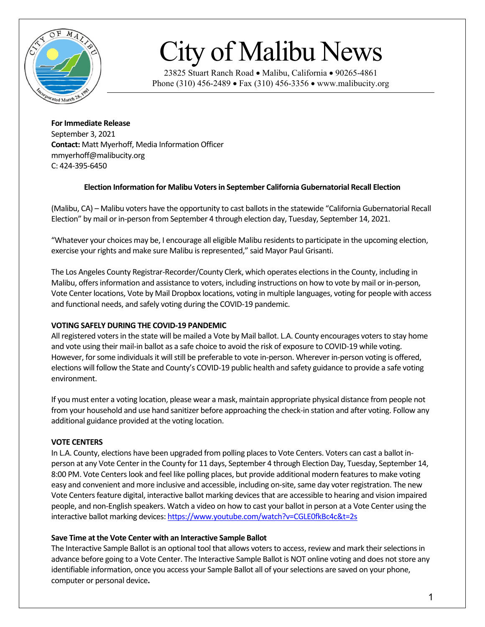

# City of Malibu News

23825 Stuart Ranch Road • Malibu, California • 90265-4861 Phone (310) 456-2489 • Fax (310) 456-3356 • www.malibucity.org

**For Immediate Release** September 3, 2021 **Contact:** Matt Myerhoff, Media Information Officer mmyerhoff@malibucity.org C: 424-395-6450

# **Election Information for Malibu Voters in September California Gubernatorial Recall Election**

(Malibu, CA) – Malibu voters have the opportunity to cast ballots in the statewide "California Gubernatorial Recall Election" by mail or in-person from September 4 through election day, Tuesday, September 14, 2021.

"Whatever your choices may be, I encourage all eligible Malibu residents to participate in the upcoming election, exercise your rights and make sure Malibu is represented," said Mayor Paul Grisanti.

The Los Angeles County Registrar-Recorder/County Clerk, which operates elections in the County, including in Malibu, offers information and assistance to voters, including instructions on how to vote by mail or in-person, Vote Center locations, Vote by Mail Dropbox locations, voting in multiple languages, voting for people with access and functional needs, and safely voting during the COVID-19 pandemic.

# **VOTING SAFELY DURING THE COVID-19 PANDEMIC**

All registered voters in the state will be mailed a Vote by Mail ballot. L.A. County encourages voters to stay home and vote using their mail-in ballot as a safe choice to avoid the risk of exposure to COVID-19 while voting. However, for some individuals it will still be preferable to vote in-person. Wherever in-person voting is offered, elections will follow the State and County's COVID-19 public health and safety guidance to provide a safe voting environment.

If you must enter a voting location, please wear a mask, maintain appropriate physical distance from people not from your household and use hand sanitizer before approaching the check-in station and after voting. Follow any additional guidance provided at the voting location.

#### **VOTE CENTERS**

In L.A. County, elections have been upgraded from polling places to Vote Centers. Voters can cast a ballot inperson at any Vote Center in the County for 11 days, September 4 through Election Day, Tuesday, September 14, 8:00 PM. Vote Centers look and feel like polling places, but provide additional modern features to make voting easy and convenient and more inclusive and accessible, including on-site, same day voter registration. The new Vote Centers feature digital, interactive ballot marking devices that are accessible to hearing and vision impaired people, and non-English speakers. Watch a video on how to cast your ballot in person at a Vote Center using the interactive ballot marking devices[: https://www.youtube.com/watch?v=CGLE0fkBc4c&t=2s](https://www.youtube.com/watch?v=CGLE0fkBc4c&t=2s)

#### **Save Time at the Vote Center with an Interactive Sample Ballot**

The Interactive Sample Ballot is an optional tool that allows voters to access, review and mark their selections in advance before going to a Vote Center. The Interactive Sample Ballot is NOT online voting and does not store any identifiable information, once you access your Sample Ballot all of your selections are saved on your phone, computer or personal device**.**